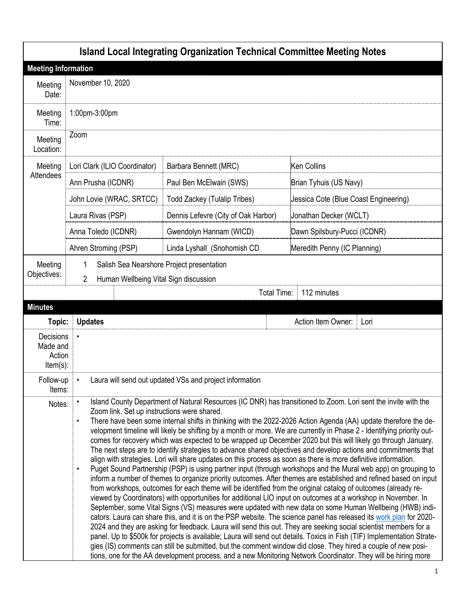|                                                |                                                                                                                                                                                                                                                                                                                                                                                                                                                                                                                                                                                                                                                                                                                                                                                                                                                                                                                                                                                                                                                                                                                                                                                                                                                                                                                                                                                                                                                                                                                                                                                                                                                                                                                                                                                                                                                                                                                                                                                       |                                       | <b>Island Local Integrating Organization Technical Committee Meeting Notes</b> |                                       |
|------------------------------------------------|---------------------------------------------------------------------------------------------------------------------------------------------------------------------------------------------------------------------------------------------------------------------------------------------------------------------------------------------------------------------------------------------------------------------------------------------------------------------------------------------------------------------------------------------------------------------------------------------------------------------------------------------------------------------------------------------------------------------------------------------------------------------------------------------------------------------------------------------------------------------------------------------------------------------------------------------------------------------------------------------------------------------------------------------------------------------------------------------------------------------------------------------------------------------------------------------------------------------------------------------------------------------------------------------------------------------------------------------------------------------------------------------------------------------------------------------------------------------------------------------------------------------------------------------------------------------------------------------------------------------------------------------------------------------------------------------------------------------------------------------------------------------------------------------------------------------------------------------------------------------------------------------------------------------------------------------------------------------------------------|---------------------------------------|--------------------------------------------------------------------------------|---------------------------------------|
| <b>Meeting Information</b>                     |                                                                                                                                                                                                                                                                                                                                                                                                                                                                                                                                                                                                                                                                                                                                                                                                                                                                                                                                                                                                                                                                                                                                                                                                                                                                                                                                                                                                                                                                                                                                                                                                                                                                                                                                                                                                                                                                                                                                                                                       |                                       |                                                                                |                                       |
| Meeting<br>Date:                               | November 10, 2020                                                                                                                                                                                                                                                                                                                                                                                                                                                                                                                                                                                                                                                                                                                                                                                                                                                                                                                                                                                                                                                                                                                                                                                                                                                                                                                                                                                                                                                                                                                                                                                                                                                                                                                                                                                                                                                                                                                                                                     |                                       |                                                                                |                                       |
| Meeting<br>Time:                               | 1:00pm-3:00pm                                                                                                                                                                                                                                                                                                                                                                                                                                                                                                                                                                                                                                                                                                                                                                                                                                                                                                                                                                                                                                                                                                                                                                                                                                                                                                                                                                                                                                                                                                                                                                                                                                                                                                                                                                                                                                                                                                                                                                         |                                       |                                                                                |                                       |
| Meeting<br>Location:                           | Zoom                                                                                                                                                                                                                                                                                                                                                                                                                                                                                                                                                                                                                                                                                                                                                                                                                                                                                                                                                                                                                                                                                                                                                                                                                                                                                                                                                                                                                                                                                                                                                                                                                                                                                                                                                                                                                                                                                                                                                                                  |                                       |                                                                                |                                       |
| Meeting                                        | Lori Clark (ILIO Coordinator)                                                                                                                                                                                                                                                                                                                                                                                                                                                                                                                                                                                                                                                                                                                                                                                                                                                                                                                                                                                                                                                                                                                                                                                                                                                                                                                                                                                                                                                                                                                                                                                                                                                                                                                                                                                                                                                                                                                                                         |                                       | Barbara Bennett (MRC)                                                          | <b>Ken Collins</b>                    |
| Attendees                                      | Ann Prusha (ICDNR)                                                                                                                                                                                                                                                                                                                                                                                                                                                                                                                                                                                                                                                                                                                                                                                                                                                                                                                                                                                                                                                                                                                                                                                                                                                                                                                                                                                                                                                                                                                                                                                                                                                                                                                                                                                                                                                                                                                                                                    |                                       | Paul Ben McElwain (SWS)                                                        | Brian Tyhuis (US Navy)                |
|                                                | John Lovie (WRAC, SRTCC)                                                                                                                                                                                                                                                                                                                                                                                                                                                                                                                                                                                                                                                                                                                                                                                                                                                                                                                                                                                                                                                                                                                                                                                                                                                                                                                                                                                                                                                                                                                                                                                                                                                                                                                                                                                                                                                                                                                                                              |                                       | <b>Todd Zackey (Tulalip Tribes)</b>                                            | Jessica Cote (Blue Coast Engineering) |
|                                                | Laura Rivas (PSP)                                                                                                                                                                                                                                                                                                                                                                                                                                                                                                                                                                                                                                                                                                                                                                                                                                                                                                                                                                                                                                                                                                                                                                                                                                                                                                                                                                                                                                                                                                                                                                                                                                                                                                                                                                                                                                                                                                                                                                     |                                       | Dennis Lefevre (City of Oak Harbor)                                            | Jonathan Decker (WCLT)                |
|                                                | Anna Toledo (ICDNR)                                                                                                                                                                                                                                                                                                                                                                                                                                                                                                                                                                                                                                                                                                                                                                                                                                                                                                                                                                                                                                                                                                                                                                                                                                                                                                                                                                                                                                                                                                                                                                                                                                                                                                                                                                                                                                                                                                                                                                   |                                       | Gwendolyn Hannam (WICD)                                                        | Dawn Spilsbury-Pucci (ICDNR)          |
|                                                |                                                                                                                                                                                                                                                                                                                                                                                                                                                                                                                                                                                                                                                                                                                                                                                                                                                                                                                                                                                                                                                                                                                                                                                                                                                                                                                                                                                                                                                                                                                                                                                                                                                                                                                                                                                                                                                                                                                                                                                       | Ahren Stroming (PSP)                  | Linda Lyshall (Snohomish CD                                                    | Meredith Penny (IC Planning)          |
| Meeting                                        | 1                                                                                                                                                                                                                                                                                                                                                                                                                                                                                                                                                                                                                                                                                                                                                                                                                                                                                                                                                                                                                                                                                                                                                                                                                                                                                                                                                                                                                                                                                                                                                                                                                                                                                                                                                                                                                                                                                                                                                                                     |                                       | Salish Sea Nearshore Project presentation                                      |                                       |
| Objectives:                                    | 2                                                                                                                                                                                                                                                                                                                                                                                                                                                                                                                                                                                                                                                                                                                                                                                                                                                                                                                                                                                                                                                                                                                                                                                                                                                                                                                                                                                                                                                                                                                                                                                                                                                                                                                                                                                                                                                                                                                                                                                     | Human Wellbeing Vital Sign discussion |                                                                                |                                       |
|                                                |                                                                                                                                                                                                                                                                                                                                                                                                                                                                                                                                                                                                                                                                                                                                                                                                                                                                                                                                                                                                                                                                                                                                                                                                                                                                                                                                                                                                                                                                                                                                                                                                                                                                                                                                                                                                                                                                                                                                                                                       |                                       | Total Time:                                                                    | 112 minutes                           |
| <b>Minutes</b>                                 |                                                                                                                                                                                                                                                                                                                                                                                                                                                                                                                                                                                                                                                                                                                                                                                                                                                                                                                                                                                                                                                                                                                                                                                                                                                                                                                                                                                                                                                                                                                                                                                                                                                                                                                                                                                                                                                                                                                                                                                       |                                       |                                                                                |                                       |
| Topic:                                         | <b>Updates</b>                                                                                                                                                                                                                                                                                                                                                                                                                                                                                                                                                                                                                                                                                                                                                                                                                                                                                                                                                                                                                                                                                                                                                                                                                                                                                                                                                                                                                                                                                                                                                                                                                                                                                                                                                                                                                                                                                                                                                                        |                                       |                                                                                | Action Item Owner:<br>Lori            |
| Decisions<br>Made and<br>Action<br>$Item(s)$ : | $\bullet$                                                                                                                                                                                                                                                                                                                                                                                                                                                                                                                                                                                                                                                                                                                                                                                                                                                                                                                                                                                                                                                                                                                                                                                                                                                                                                                                                                                                                                                                                                                                                                                                                                                                                                                                                                                                                                                                                                                                                                             |                                       |                                                                                |                                       |
| Follow-up<br>Items:                            | Laura will send out updated VSs and project information                                                                                                                                                                                                                                                                                                                                                                                                                                                                                                                                                                                                                                                                                                                                                                                                                                                                                                                                                                                                                                                                                                                                                                                                                                                                                                                                                                                                                                                                                                                                                                                                                                                                                                                                                                                                                                                                                                                               |                                       |                                                                                |                                       |
| Notes:                                         | Island County Department of Natural Resources (IC DNR) has transitioned to Zoom. Lori sent the invite with the<br>Zoom link. Set up instructions were shared.<br>There have been some internal shifts in thinking with the 2022-2026 Action Agenda (AA) update therefore the de-<br>$\bullet$<br>velopment timeline will likely be shifting by a month or more. We are currently in Phase 2 - Identifying priority out-<br>comes for recovery which was expected to be wrapped up December 2020 but this will likely go through January.<br>The next steps are to identify strategies to advance shared objectives and develop actions and commitments that<br>align with strategies. Lori will share updates on this process as soon as there is more definitive information.<br>Puget Sound Partnership (PSP) is using partner input (through workshops and the Mural web app) on grouping to<br>$\bullet$<br>inform a number of themes to organize priority outcomes. After themes are established and refined based on input<br>from workshops, outcomes for each theme will be identified from the original catalog of outcomes (already re-<br>viewed by Coordinators) with opportunities for additional LIO input on outcomes at a workshop in November. In<br>September, some Vital Signs (VS) measures were updated with new data on some Human Wellbeing (HWB) indi-<br>cators. Laura can share this, and it is on the PSP website. The science panel has released its work plan for 2020-<br>2024 and they are asking for feedback. Laura will send this out. They are seeking social scientist members for a<br>panel. Up to \$500k for projects is available; Laura will send out details. Toxics in Fish (TIF) Implementation Strate-<br>gies (IS) comments can still be submitted, but the comment window did close. They hired a couple of new posi-<br>tions, one for the AA development process, and a new Monitoring Network Coordinator. They will be hiring more |                                       |                                                                                |                                       |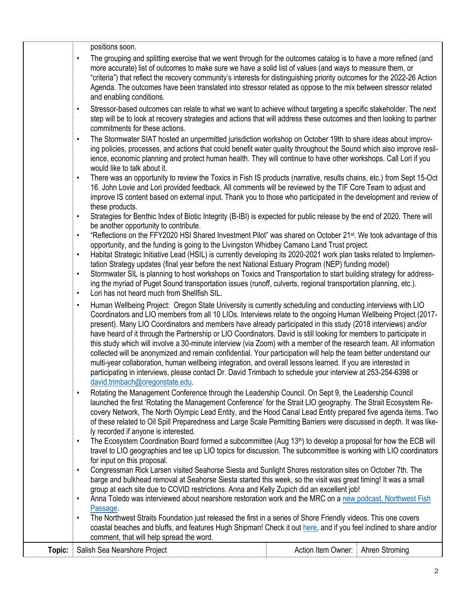|        |           | positions soon.                                                                                                                                                                                                                          |                    |                |
|--------|-----------|------------------------------------------------------------------------------------------------------------------------------------------------------------------------------------------------------------------------------------------|--------------------|----------------|
|        | $\bullet$ | The grouping and splitting exercise that we went through for the outcomes catalog is to have a more refined (and                                                                                                                         |                    |                |
|        |           | more accurate) list of outcomes to make sure we have a solid list of values (and ways to measure them, or                                                                                                                                |                    |                |
|        |           | "criteria") that reflect the recovery community's interests for distinguishing priority outcomes for the 2022-26 Action                                                                                                                  |                    |                |
|        |           | Agenda. The outcomes have been translated into stressor related as oppose to the mix between stressor related                                                                                                                            |                    |                |
|        |           | and enabling conditions.                                                                                                                                                                                                                 |                    |                |
|        | $\bullet$ | Stressor-based outcomes can relate to what we want to achieve without targeting a specific stakeholder. The next<br>step will be to look at recovery strategies and actions that will address these outcomes and then looking to partner |                    |                |
|        |           | commitments for these actions.                                                                                                                                                                                                           |                    |                |
|        | $\bullet$ | The Stormwater SIAT hosted an unpermitted jurisdiction workshop on October 19th to share ideas about improv-                                                                                                                             |                    |                |
|        |           | ing policies, processes, and actions that could benefit water quality throughout the Sound which also improve resil-                                                                                                                     |                    |                |
|        |           | ience, economic planning and protect human health. They will continue to have other workshops. Call Lori if you                                                                                                                          |                    |                |
|        |           | would like to talk about it.                                                                                                                                                                                                             |                    |                |
|        | $\bullet$ | There was an opportunity to review the Toxics in Fish IS products (narrative, results chains, etc.) from Sept 15-Oct                                                                                                                     |                    |                |
|        |           | 16. John Lovie and Lori provided feedback. All comments will be reviewed by the TIF Core Team to adjust and                                                                                                                              |                    |                |
|        |           | improve IS content based on external input. Thank you to those who participated in the development and review of                                                                                                                         |                    |                |
|        | $\bullet$ | these products.<br>Strategies for Benthic Index of Biotic Integrity (B-IBI) is expected for public release by the end of 2020. There will                                                                                                |                    |                |
|        |           | be another opportunity to contribute.                                                                                                                                                                                                    |                    |                |
|        | $\bullet$ | "Reflections on the FFY2020 HSI Shared Investment Pilot" was shared on October 21 <sup>st</sup> . We took advantage of this                                                                                                              |                    |                |
|        |           | opportunity, and the funding is going to the Livingston Whidbey Camano Land Trust project.                                                                                                                                               |                    |                |
|        | $\bullet$ | Habitat Strategic Initiative Lead (HSIL) is currently developing its 2020-2021 work plan tasks related to Implemen-                                                                                                                      |                    |                |
|        |           | tation Strategy updates (final year before the next National Estuary Program (NEP) funding model)                                                                                                                                        |                    |                |
|        | $\bullet$ | Stormwater SIL is planning to host workshops on Toxics and Transportation to start building strategy for address-<br>ing the myriad of Puget Sound transportation issues (runoff, culverts, regional transportation planning, etc.).     |                    |                |
|        | $\bullet$ | Lori has not heard much from Shellfish SIL.                                                                                                                                                                                              |                    |                |
|        | $\bullet$ | Human Wellbeing Project: Oregon State University is currently scheduling and conducting interviews with LIO                                                                                                                              |                    |                |
|        |           | Coordinators and LIO members from all 10 LIOs. Interviews relate to the ongoing Human Wellbeing Project (2017-                                                                                                                           |                    |                |
|        |           | present). Many LIO Coordinators and members have already participated in this study (2018 interviews) and/or                                                                                                                             |                    |                |
|        |           | have heard of it through the Partnership or LIO Coordinators. David is still looking for members to participate in                                                                                                                       |                    |                |
|        |           | this study which will involve a 30-minute interview (via Zoom) with a member of the research team. All information<br>collected will be anonymized and remain confidential. Your participation will help the team better understand our  |                    |                |
|        |           | multi-year collaboration, human wellbeing integration, and overall lessons learned. If you are interested in                                                                                                                             |                    |                |
|        |           | participating in interviews, please contact Dr. David Trimbach to schedule your interview at 253-254-6398 or                                                                                                                             |                    |                |
|        |           | david.trimbach@oregonstate.edu.                                                                                                                                                                                                          |                    |                |
|        | $\bullet$ | Rotating the Management Conference through the Leadership Council. On Sept 9, the Leadership Council                                                                                                                                     |                    |                |
|        |           | launched the first 'Rotating the Management Conference' for the Strait LIO geography. The Strait Ecosystem Re-                                                                                                                           |                    |                |
|        |           | covery Network, The North Olympic Lead Entity, and the Hood Canal Lead Entity prepared five agenda items. Two                                                                                                                            |                    |                |
|        |           | of these related to Oil Spill Preparedness and Large Scale Permitting Barriers were discussed in depth. It was like-<br>ly recorded if anyone is interested.                                                                             |                    |                |
|        | $\bullet$ | The Ecosystem Coordination Board formed a subcommittee (Aug 13 <sup>th</sup> ) to develop a proposal for how the ECB will                                                                                                                |                    |                |
|        |           | travel to LIO geographies and tee up LIO topics for discussion. The subcommittee is working with LIO coordinators                                                                                                                        |                    |                |
|        |           | for input on this proposal.                                                                                                                                                                                                              |                    |                |
|        | $\bullet$ | Congressman Rick Larsen visited Seahorse Siesta and Sunlight Shores restoration sites on October 7th. The                                                                                                                                |                    |                |
|        |           | barge and bulkhead removal at Seahorse Siesta started this week, so the visit was great timing! It was a small                                                                                                                           |                    |                |
|        | $\bullet$ | group at each site due to COVID restrictions. Anna and Kelly Zupich did an excellent job!<br>Anna Toledo was interviewed about nearshore restoration work and the MRC on a new podcast, Northwest Fish                                   |                    |                |
|        |           | Passage.                                                                                                                                                                                                                                 |                    |                |
|        | $\bullet$ | The Northwest Straits Foundation just released the first in a series of Shore Friendly videos. This one covers                                                                                                                           |                    |                |
|        |           | coastal beaches and bluffs, and features Hugh Shipman! Check it out here, and if you feel inclined to share and/or                                                                                                                       |                    |                |
|        |           | comment, that will help spread the word.                                                                                                                                                                                                 |                    |                |
| Topic: |           | Salish Sea Nearshore Project                                                                                                                                                                                                             | Action Item Owner: | Ahren Stroming |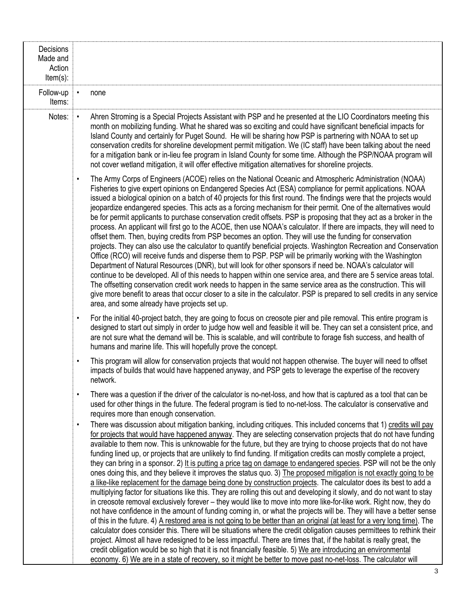| Decisions<br>Made and<br>Action<br>$Item(s)$ : |                                                                                                                                                                                                                                                                                                                                                                                                                                                                                                                                                                                                                                                                                                                                                                                                                                                                                                                                                                                                                                                                                                                                                                                                                                                                                                                                                                                                                                                                                                                                                                                                                                                                                                                                               |
|------------------------------------------------|-----------------------------------------------------------------------------------------------------------------------------------------------------------------------------------------------------------------------------------------------------------------------------------------------------------------------------------------------------------------------------------------------------------------------------------------------------------------------------------------------------------------------------------------------------------------------------------------------------------------------------------------------------------------------------------------------------------------------------------------------------------------------------------------------------------------------------------------------------------------------------------------------------------------------------------------------------------------------------------------------------------------------------------------------------------------------------------------------------------------------------------------------------------------------------------------------------------------------------------------------------------------------------------------------------------------------------------------------------------------------------------------------------------------------------------------------------------------------------------------------------------------------------------------------------------------------------------------------------------------------------------------------------------------------------------------------------------------------------------------------|
| Follow-up<br>Items:                            | none                                                                                                                                                                                                                                                                                                                                                                                                                                                                                                                                                                                                                                                                                                                                                                                                                                                                                                                                                                                                                                                                                                                                                                                                                                                                                                                                                                                                                                                                                                                                                                                                                                                                                                                                          |
| Notes:                                         | Ahren Stroming is a Special Projects Assistant with PSP and he presented at the LIO Coordinators meeting this<br>$\bullet$<br>month on mobilizing funding. What he shared was so exciting and could have significant beneficial impacts for<br>Island County and certainly for Puget Sound. He will be sharing how PSP is partnering with NOAA to set up<br>conservation credits for shoreline development permit mitigation. We (IC staff) have been talking about the need<br>for a mitigation bank or in-lieu fee program in Island County for some time. Although the PSP/NOAA program will<br>not cover wetland mitigation, it will offer effective mitigation alternatives for shoreline projects.                                                                                                                                                                                                                                                                                                                                                                                                                                                                                                                                                                                                                                                                                                                                                                                                                                                                                                                                                                                                                                      |
|                                                | The Army Corps of Engineers (ACOE) relies on the National Oceanic and Atmospheric Administration (NOAA)<br>$\bullet$<br>Fisheries to give expert opinions on Endangered Species Act (ESA) compliance for permit applications. NOAA<br>issued a biological opinion on a batch of 40 projects for this first round. The findings were that the projects would<br>jeopardize endangered species. This acts as a forcing mechanism for their permit. One of the alternatives would<br>be for permit applicants to purchase conservation credit offsets. PSP is proposing that they act as a broker in the<br>process. An applicant will first go to the ACOE, then use NOAA's calculator. If there are impacts, they will need to<br>offset them. Then, buying credits from PSP becomes an option. They will use the funding for conservation<br>projects. They can also use the calculator to quantify beneficial projects. Washington Recreation and Conservation<br>Office (RCO) will receive funds and disperse them to PSP. PSP will be primarily working with the Washington<br>Department of Natural Resources (DNR), but will look for other sponsors if need be. NOAA's calculator will<br>continue to be developed. All of this needs to happen within one service area, and there are 5 service areas total.<br>The offsetting conservation credit work needs to happen in the same service area as the construction. This will<br>give more benefit to areas that occur closer to a site in the calculator. PSP is prepared to sell credits in any service<br>area, and some already have projects set up.                                                                                                                            |
|                                                | For the initial 40-project batch, they are going to focus on creosote pier and pile removal. This entire program is<br>$\bullet$<br>designed to start out simply in order to judge how well and feasible it will be. They can set a consistent price, and<br>are not sure what the demand will be. This is scalable, and will contribute to forage fish success, and health of<br>humans and marine life. This will hopefully prove the concept.                                                                                                                                                                                                                                                                                                                                                                                                                                                                                                                                                                                                                                                                                                                                                                                                                                                                                                                                                                                                                                                                                                                                                                                                                                                                                              |
|                                                | This program will allow for conservation projects that would not happen otherwise. The buyer will need to offset<br>$\bullet$<br>impacts of builds that would have happened anyway, and PSP gets to leverage the expertise of the recovery<br>network.                                                                                                                                                                                                                                                                                                                                                                                                                                                                                                                                                                                                                                                                                                                                                                                                                                                                                                                                                                                                                                                                                                                                                                                                                                                                                                                                                                                                                                                                                        |
|                                                | There was a question if the driver of the calculator is no-net-loss, and how that is captured as a tool that can be<br>$\bullet$<br>used for other things in the future. The federal program is tied to no-net-loss. The calculator is conservative and<br>requires more than enough conservation.                                                                                                                                                                                                                                                                                                                                                                                                                                                                                                                                                                                                                                                                                                                                                                                                                                                                                                                                                                                                                                                                                                                                                                                                                                                                                                                                                                                                                                            |
|                                                | There was discussion about mitigation banking, including critiques. This included concerns that 1) credits will pay<br>$\bullet$<br>for projects that would have happened anyway. They are selecting conservation projects that do not have funding<br>available to them now. This is unknowable for the future, but they are trying to choose projects that do not have<br>funding lined up, or projects that are unlikely to find funding. If mitigation credits can mostly complete a project,<br>they can bring in a sponsor. 2) It is putting a price tag on damage to endangered species. PSP will not be the only<br>ones doing this, and they believe it improves the status quo. 3) The proposed mitigation is not exactly going to be<br>a like-like replacement for the damage being done by construction projects. The calculator does its best to add a<br>multiplying factor for situations like this. They are rolling this out and developing it slowly, and do not want to stay<br>in creosote removal exclusively forever – they would like to move into more like-for-like work. Right now, they do<br>not have confidence in the amount of funding coming in, or what the projects will be. They will have a better sense<br>of this in the future. 4) A restored area is not going to be better than an original (at least for a very long time). The<br>calculator does consider this. There will be situations where the credit obligation causes permittees to rethink their<br>project. Almost all have redesigned to be less impactful. There are times that, if the habitat is really great, the<br>credit obligation would be so high that it is not financially feasible. 5) We are introducing an environmental |
|                                                | economy. 6) We are in a state of recovery, so it might be better to move past no-net-loss. The calculator will                                                                                                                                                                                                                                                                                                                                                                                                                                                                                                                                                                                                                                                                                                                                                                                                                                                                                                                                                                                                                                                                                                                                                                                                                                                                                                                                                                                                                                                                                                                                                                                                                                |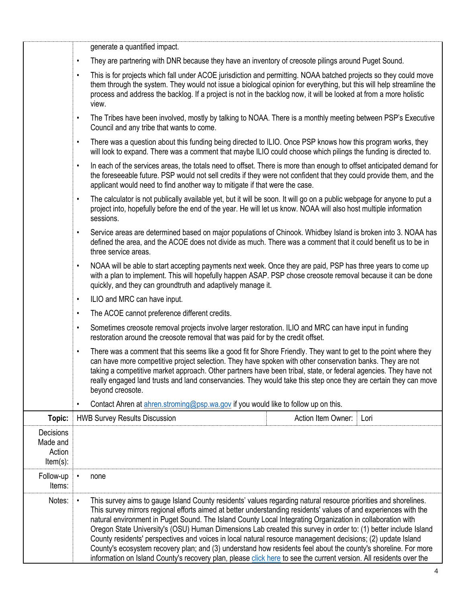|                                                       | generate a quantified impact.                                                                                                                                                                                                                                                                                                                                                                                                                                                                                                                                                                                                                                                                                                                                                                                                            |                    |      |  |  |
|-------------------------------------------------------|------------------------------------------------------------------------------------------------------------------------------------------------------------------------------------------------------------------------------------------------------------------------------------------------------------------------------------------------------------------------------------------------------------------------------------------------------------------------------------------------------------------------------------------------------------------------------------------------------------------------------------------------------------------------------------------------------------------------------------------------------------------------------------------------------------------------------------------|--------------------|------|--|--|
|                                                       | They are partnering with DNR because they have an inventory of creosote pilings around Puget Sound.<br>$\bullet$<br>This is for projects which fall under ACOE jurisdiction and permitting. NOAA batched projects so they could move<br>$\bullet$<br>them through the system. They would not issue a biological opinion for everything, but this will help streamline the<br>process and address the backlog. If a project is not in the backlog now, it will be looked at from a more holistic<br>view.                                                                                                                                                                                                                                                                                                                                 |                    |      |  |  |
|                                                       |                                                                                                                                                                                                                                                                                                                                                                                                                                                                                                                                                                                                                                                                                                                                                                                                                                          |                    |      |  |  |
|                                                       | The Tribes have been involved, mostly by talking to NOAA. There is a monthly meeting between PSP's Executive<br>$\bullet$<br>Council and any tribe that wants to come.                                                                                                                                                                                                                                                                                                                                                                                                                                                                                                                                                                                                                                                                   |                    |      |  |  |
|                                                       | There was a question about this funding being directed to ILIO. Once PSP knows how this program works, they<br>$\bullet$<br>will look to expand. There was a comment that maybe ILIO could choose which pilings the funding is directed to.                                                                                                                                                                                                                                                                                                                                                                                                                                                                                                                                                                                              |                    |      |  |  |
|                                                       | In each of the services areas, the totals need to offset. There is more than enough to offset anticipated demand for<br>$\bullet$<br>the foreseeable future. PSP would not sell credits if they were not confident that they could provide them, and the<br>applicant would need to find another way to mitigate if that were the case.                                                                                                                                                                                                                                                                                                                                                                                                                                                                                                  |                    |      |  |  |
|                                                       | The calculator is not publically available yet, but it will be soon. It will go on a public webpage for anyone to put a<br>$\bullet$<br>project into, hopefully before the end of the year. He will let us know. NOAA will also host multiple information<br>sessions.                                                                                                                                                                                                                                                                                                                                                                                                                                                                                                                                                                   |                    |      |  |  |
|                                                       | Service areas are determined based on major populations of Chinook. Whidbey Island is broken into 3. NOAA has<br>$\bullet$<br>defined the area, and the ACOE does not divide as much. There was a comment that it could benefit us to be in<br>three service areas.                                                                                                                                                                                                                                                                                                                                                                                                                                                                                                                                                                      |                    |      |  |  |
|                                                       | NOAA will be able to start accepting payments next week. Once they are paid, PSP has three years to come up<br>$\bullet$<br>with a plan to implement. This will hopefully happen ASAP. PSP chose creosote removal because it can be done<br>quickly, and they can groundtruth and adaptively manage it.                                                                                                                                                                                                                                                                                                                                                                                                                                                                                                                                  |                    |      |  |  |
|                                                       | ILIO and MRC can have input.<br>$\bullet$                                                                                                                                                                                                                                                                                                                                                                                                                                                                                                                                                                                                                                                                                                                                                                                                |                    |      |  |  |
|                                                       | The ACOE cannot preference different credits.<br>$\bullet$                                                                                                                                                                                                                                                                                                                                                                                                                                                                                                                                                                                                                                                                                                                                                                               |                    |      |  |  |
|                                                       | Sometimes creosote removal projects involve larger restoration. ILIO and MRC can have input in funding<br>$\bullet$<br>restoration around the creosote removal that was paid for by the credit offset.                                                                                                                                                                                                                                                                                                                                                                                                                                                                                                                                                                                                                                   |                    |      |  |  |
|                                                       | There was a comment that this seems like a good fit for Shore Friendly. They want to get to the point where they<br>$\bullet$<br>can have more competitive project selection. They have spoken with other conservation banks. They are not<br>taking a competitive market approach. Other partners have been tribal, state, or federal agencies. They have not<br>really engaged land trusts and land conservancies. They would take this step once they are certain they can move<br>beyond creosote.                                                                                                                                                                                                                                                                                                                                   |                    |      |  |  |
|                                                       | Contact Ahren at ahren stroming@psp.wa.gov if you would like to follow up on this.<br>$\bullet$                                                                                                                                                                                                                                                                                                                                                                                                                                                                                                                                                                                                                                                                                                                                          |                    |      |  |  |
| Topic:                                                | <b>HWB Survey Results Discussion</b>                                                                                                                                                                                                                                                                                                                                                                                                                                                                                                                                                                                                                                                                                                                                                                                                     | Action Item Owner: | Lori |  |  |
| <b>Decisions</b><br>Made and<br>Action<br>$Item(s)$ : |                                                                                                                                                                                                                                                                                                                                                                                                                                                                                                                                                                                                                                                                                                                                                                                                                                          |                    |      |  |  |
| Follow-up<br>Items:                                   | none                                                                                                                                                                                                                                                                                                                                                                                                                                                                                                                                                                                                                                                                                                                                                                                                                                     |                    |      |  |  |
| Notes:                                                | This survey aims to gauge Island County residents' values regarding natural resource priorities and shorelines.<br>$\bullet$<br>This survey mirrors regional efforts aimed at better understanding residents' values of and experiences with the<br>natural environment in Puget Sound. The Island County Local Integrating Organization in collaboration with<br>Oregon State University's (OSU) Human Dimensions Lab created this survey in order to: (1) better include Island<br>County residents' perspectives and voices in local natural resource management decisions; (2) update Island<br>County's ecosystem recovery plan; and (3) understand how residents feel about the county's shoreline. For more<br>information on Island County's recovery plan, please click here to see the current version. All residents over the |                    |      |  |  |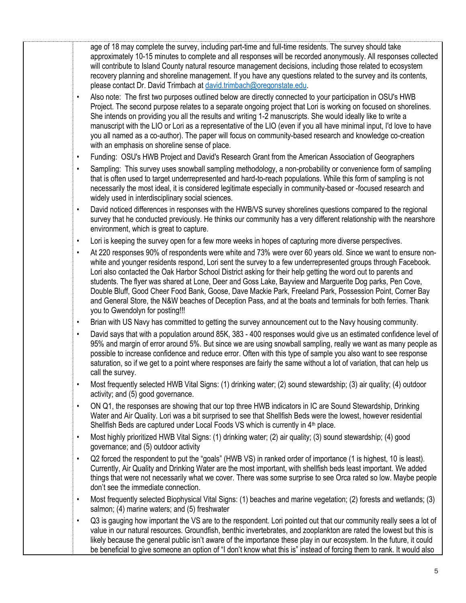age of 18 may complete the survey, including part-time and full-time residents. The survey should take approximately 10-15 minutes to complete and all responses will be recorded anonymously. All responses collected will contribute to Island County natural resource management decisions, including those related to ecosystem recovery planning and shoreline management. If you have any questions related to the survey and its contents, please contact Dr. David Trimbach at [david.trimbach@oregonstate.edu.](mailto:david.trimbach@oregonstate.edu)

- Also note: The first two purposes outlined below are directly connected to your participation in OSU's HWB Project. The second purpose relates to a separate ongoing project that Lori is working on focused on shorelines. She intends on providing you all the results and writing 1-2 manuscripts. She would ideally like to write a manuscript with the LIO or Lori as a representative of the LIO (even if you all have minimal input, I'd love to have you all named as a co-author). The paper will focus on community-based research and knowledge co-creation with an emphasis on shoreline sense of place.
- Funding: OSU's HWB Project and David's Research Grant from the American Association of Geographers
- Sampling: This survey uses snowball sampling methodology, a non-probability or convenience form of sampling that is often used to target underrepresented and hard-to-reach populations. While this form of sampling is not necessarily the most ideal, it is considered legitimate especially in community-based or -focused research and widely used in interdisciplinary social sciences.
- David noticed differences in responses with the HWB/VS survey shorelines questions compared to the regional survey that he conducted previously. He thinks our community has a very different relationship with the nearshore environment, which is great to capture.
- Lori is keeping the survey open for a few more weeks in hopes of capturing more diverse perspectives.
- At 220 responses 90% of respondents were white and 73% were over 60 years old. Since we want to ensure nonwhite and younger residents respond, Lori sent the survey to a few underrepresented groups through Facebook. Lori also contacted the Oak Harbor School District asking for their help getting the word out to parents and students. The flyer was shared at Lone, Deer and Goss Lake, Bayview and Marguerite Dog parks, Pen Cove, Double Bluff, Good Cheer Food Bank, Goose, Dave Mackie Park, Freeland Park, Possession Point, Corner Bay and General Store, the N&W beaches of Deception Pass, and at the boats and terminals for both ferries. Thank you to Gwendolyn for posting!!!
- Brian with US Navy has committed to getting the survey announcement out to the Navy housing community.
- David says that with a population around 85K, 383 400 responses would give us an estimated confidence level of 95% and margin of error around 5%. But since we are using snowball sampling, really we want as many people as possible to increase confidence and reduce error. Often with this type of sample you also want to see response saturation, so if we get to a point where responses are fairly the same without a lot of variation, that can help us call the survey.
- Most frequently selected HWB Vital Signs: (1) drinking water; (2) sound stewardship; (3) air quality; (4) outdoor activity; and (5) good governance.
- ON Q1, the responses are showing that our top three HWB indicators in IC are Sound Stewardship, Drinking Water and Air Quality. Lori was a bit surprised to see that Shellfish Beds were the lowest, however residential Shellfish Beds are captured under Local Foods VS which is currently in 4<sup>th</sup> place.
- Most highly prioritized HWB Vital Signs: (1) drinking water; (2) air quality; (3) sound stewardship; (4) good governance; and (5) outdoor activity
- Q2 forced the respondent to put the "goals" (HWB VS) in ranked order of importance (1 is highest, 10 is least). Currently, Air Quality and Drinking Water are the most important, with shellfish beds least important. We added things that were not necessarily what we cover. There was some surprise to see Orca rated so low. Maybe people don't see the immediate connection.
- Most frequently selected Biophysical Vital Signs: (1) beaches and marine vegetation; (2) forests and wetlands; (3) salmon; (4) marine waters; and (5) freshwater
- Q3 is gauging how important the VS are to the respondent. Lori pointed out that our community really sees a lot of value in our natural resources. Groundfish, benthic invertebrates, and zooplankton are rated the lowest but this is likely because the general public isn't aware of the importance these play in our ecosystem. In the future, it could be beneficial to give someone an option of "I don't know what this is" instead of forcing them to rank. It would also